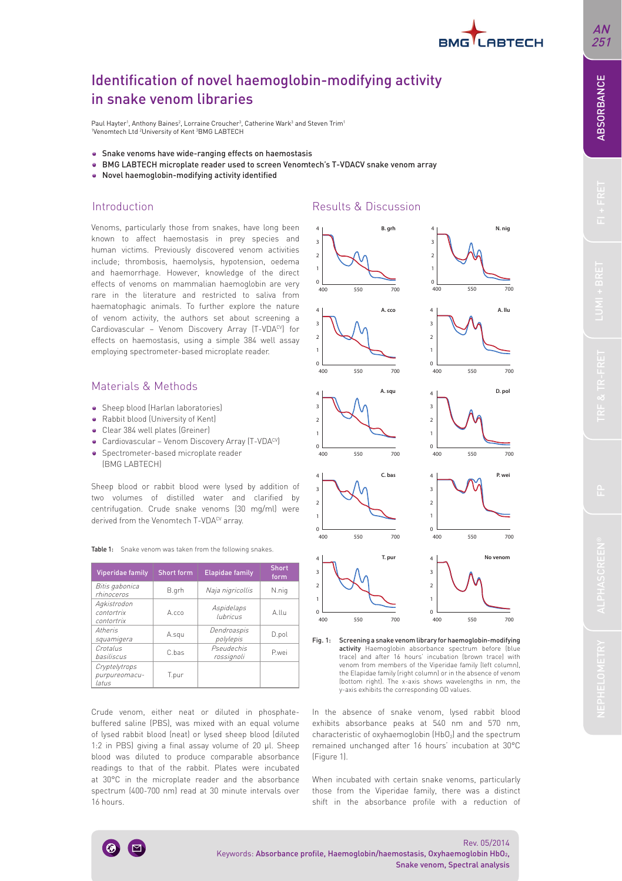

## Identification of novel haemoglobin-modifying activity in snake venom libraries

Paul Hayter<sup>1</sup>, Anthony Baines<sup>2</sup>, Lorraine Croucher<sup>3</sup>, Catherine Wark<sup>3</sup> and Steven Trim<sup>1</sup> <sup>1</sup>Venomtech Ltd <sup>2</sup>University of Kent <sup>3</sup>BMG LABTECH

- Snake venoms have wide-ranging effects on haemostasis
- BMG LABTECH microplate reader used to screen Venomtech's T-VDACV snake venom array
- Novel haemoglobin-modifying activity identified

## Introduction

Venoms, particularly those from snakes, have long been known to affect haemostasis in prey species and human victims. Previously discovered venom activities include; thrombosis, haemolysis, hypotension, oedema and haemorrhage. However, knowledge of the direct effects of venoms on mammalian haemoglobin are very rare in the literature and restricted to saliva from haematophagic animals. To further explore the nature of venom activity, the authors set about screening a Cardiovascular - Venom Discovery Array (T-VDACV) for effects on haemostasis, using a simple 384 well assay employing spectrometer-based microplate reader.

## Materials & Methods

- Sheep blood (Harlan laboratories)
- Rabbit blood (University of Kent)
- Clear 384 well plates (Greiner)
- Cardiovascular Venom Discovery Array (T-VDACV)
- Spectrometer-based microplate reader (BMG LABTECH)

Sheep blood or rabbit blood were lysed by addition of two volumes of distilled water and clarified by centrifugation. Crude snake venoms (30 mg/ml) were derived from the Venomtech T-VDACV array.

| Table 1: Snake venom was taken from the following snakes. |
|-----------------------------------------------------------|
|-----------------------------------------------------------|

| Viperidae family                        | <b>Short form</b> | <b>Elapidae family</b>   | <b>Short</b><br>form |
|-----------------------------------------|-------------------|--------------------------|----------------------|
| Bitis gabonica<br>rhinoceros            | B.grh             | Naja nigricollis         | N.nig                |
| Agkistrodon<br>contortrix<br>contortrix | A cco             | Aspidelaps<br>lubricus   | A.IIu                |
| Atheris<br>squamigera                   | A.squ             | Dendroaspis<br>polylepis | D.pol                |
| Crotalus<br>hasiliscus                  | C has             | Pseudechis<br>rossignoli | Pwei                 |
| Cryptelytrops<br>purpureomacu-<br>latus | T.pur             |                          |                      |

Crude venom, either neat or diluted in phosphatebuffered saline (PBS), was mixed with an equal volume of lysed rabbit blood (neat) or lysed sheep blood (diluted 1:2 in PBS) giving a final assay volume of 20 μl. Sheep blood was diluted to produce comparable absorbance readings to that of the rabbit. Plates were incubated at 30°C in the microplate reader and the absorbance spectrum (400-700 nm) read at 30 minute intervals over 16 hours.

## Results & Discussion



Fig. 1: Screening a snake venom library for haemoglobin-modifying activity Haemoglobin absorbance spectrum before (blue trace) and after 16 hours' incubation (brown trace) with venom from members of the Viperidae family (left column), the Elapidae family (right column) or in the absence of venom (bottom right). The x-axis shows wavelengths in nm, the y-axis exhibits the corresponding OD values.

In the absence of snake venom, lysed rabbit blood exhibits absorbance peaks at 540 nm and 570 nm, characteristic of oxyhaemoglobin (HbO<sub>2</sub>) and the spectrum remained unchanged after 16 hours' incubation at 30°C (Figure 1).

When incubated with certain snake venoms, particularly those from the Viperidae family, there was a distinct shift in the absorbance profile with a reduction of

Keywords: Absorbance profile, Haemoglobin/haemostasis, Oxyhaemoglobin HbO2,

Rev. 05/2014

Snake venom, Spectral analysis